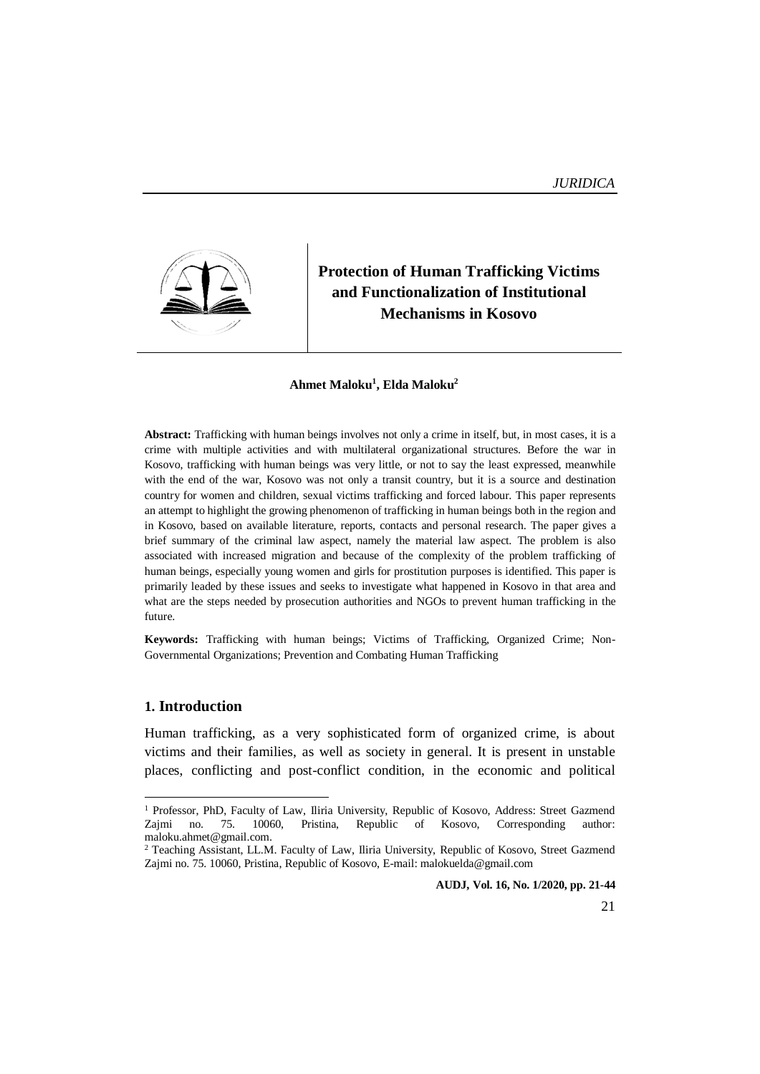

# **Protection of Human Trafficking Victims and Functionalization of Institutional Mechanisms in Kosovo**

#### **Ahmet Maloku<sup>1</sup> , Elda Maloku<sup>2</sup>**

**Abstract:** Trafficking with human beings involves not only a crime in itself, but, in most cases, it is a crime with multiple activities and with multilateral organizational structures. Before the war in Kosovo, trafficking with human beings was very little, or not to say the least expressed, meanwhile with the end of the war, Kosovo was not only a transit country, but it is a source and destination country for women and children, sexual victims trafficking and forced labour. This paper represents an attempt to highlight the growing phenomenon of trafficking in human beings both in the region and in Kosovo, based on available literature, reports, contacts and personal research. The paper gives a brief summary of the criminal law aspect, namely the material law aspect. The problem is also associated with increased migration and because of the complexity of the problem trafficking of human beings, especially young women and girls for prostitution purposes is identified. This paper is primarily leaded by these issues and seeks to investigate what happened in Kosovo in that area and what are the steps needed by prosecution authorities and NGOs to prevent human trafficking in the future.

**Keywords:** Trafficking with human beings; Victims of Trafficking, Organized Crime; Non-Governmental Organizations; Prevention and Combating Human Trafficking

#### **1. Introduction**

**.** 

Human trafficking, as a very sophisticated form of organized crime, is about victims and their families, as well as society in general. It is present in unstable places, conflicting and post-conflict condition, in the economic and political

<sup>&</sup>lt;sup>1</sup> Professor, PhD, Faculty of Law, Iliria University, Republic of Kosovo, Address: Street Gazmend Zajmi no. 75. 10060, Pristina, Republic of Kosovo, Corresponding author: no. 75. 10060, Pristina, Republic of Kosovo, Corresponding author: maloku.ahmet@gmail.com.

<sup>2</sup> Teaching Assistant, LL.M. Faculty of Law, Iliria University, Republic of Kosovo, Street Gazmend Zajmi no. 75. 10060, Pristina, Republic of Kosovo, E-mail: malokuelda@gmail.com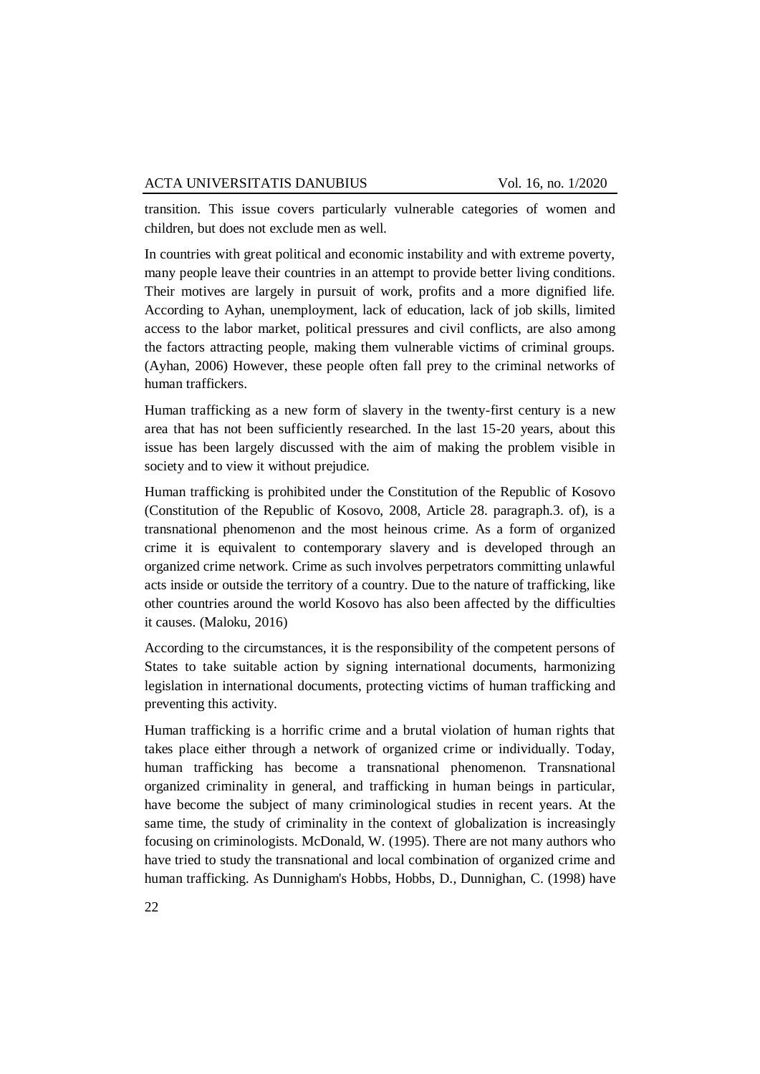transition. This issue covers particularly vulnerable categories of women and children, but does not exclude men as well.

In countries with great political and economic instability and with extreme poverty, many people leave their countries in an attempt to provide better living conditions. Their motives are largely in pursuit of work, profits and a more dignified life. According to Ayhan, unemployment, lack of education, lack of job skills, limited access to the labor market, political pressures and civil conflicts, are also among the factors attracting people, making them vulnerable victims of criminal groups. (Ayhan, 2006) However, these people often fall prey to the criminal networks of human traffickers.

Human trafficking as a new form of slavery in the twenty-first century is a new area that has not been sufficiently researched. In the last 15-20 years, about this issue has been largely discussed with the aim of making the problem visible in society and to view it without prejudice.

Human trafficking is prohibited under the Constitution of the Republic of Kosovo (Constitution of the Republic of Kosovo, 2008, Article 28. paragraph.3. of), is a transnational phenomenon and the most heinous crime. As a form of organized crime it is equivalent to contemporary slavery and is developed through an organized crime network. Crime as such involves perpetrators committing unlawful acts inside or outside the territory of a country. Due to the nature of trafficking, like other countries around the world Kosovo has also been affected by the difficulties it causes. (Maloku, 2016)

According to the circumstances, it is the responsibility of the competent persons of States to take suitable action by signing international documents, harmonizing legislation in international documents, protecting victims of human trafficking and preventing this activity.

Human trafficking is a horrific crime and a brutal violation of human rights that takes place either through a network of organized crime or individually. Today, human trafficking has become a transnational phenomenon. Transnational organized criminality in general, and trafficking in human beings in particular, have become the subject of many criminological studies in recent years. At the same time, the study of criminality in the context of globalization is increasingly focusing on criminologists. McDonald, W. (1995). There are not many authors who have tried to study the transnational and local combination of organized crime and human trafficking. As Dunnigham's Hobbs, Hobbs, D., Dunnighan, C. (1998) have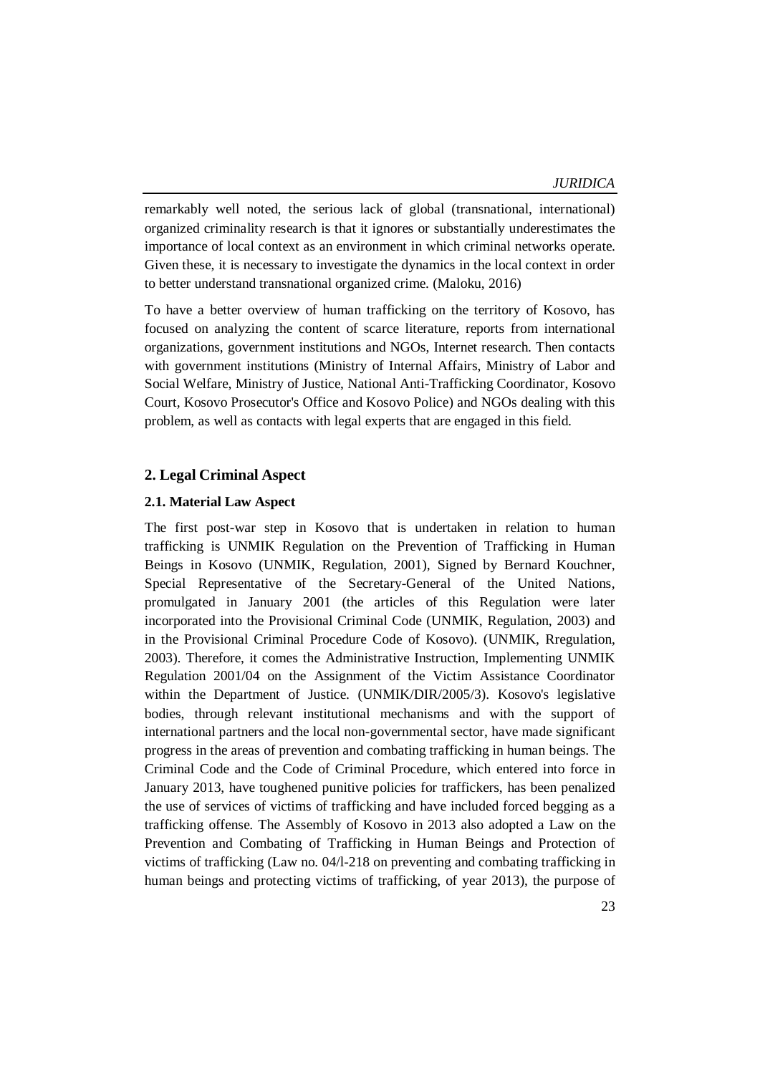remarkably well noted, the serious lack of global (transnational, international) organized criminality research is that it ignores or substantially underestimates the importance of local context as an environment in which criminal networks operate. Given these, it is necessary to investigate the dynamics in the local context in order to better understand transnational organized crime. (Maloku, 2016)

To have a better overview of human trafficking on the territory of Kosovo, has focused on analyzing the content of scarce literature, reports from international organizations, government institutions and NGOs, Internet research. Then contacts with government institutions (Ministry of Internal Affairs, Ministry of Labor and Social Welfare, Ministry of Justice, National Anti-Trafficking Coordinator, Kosovo Court, Kosovo Prosecutor's Office and Kosovo Police) and NGOs dealing with this problem, as well as contacts with legal experts that are engaged in this field.

# **2. Legal Criminal Aspect**

#### **2.1. Material Law Aspect**

The first post-war step in Kosovo that is undertaken in relation to human trafficking is UNMIK Regulation on the Prevention of Trafficking in Human Beings in Kosovo (UNMIK, Regulation, 2001), Signed by Bernard Kouchner, Special Representative of the Secretary-General of the United Nations, promulgated in January 2001 (the articles of this Regulation were later incorporated into the Provisional Criminal Code (UNMIK, Regulation, 2003) and in the Provisional Criminal Procedure Code of Kosovo). (UNMIK, Rregulation, 2003). Therefore, it comes the Administrative Instruction, Implementing UNMIK Regulation 2001/04 on the Assignment of the Victim Assistance Coordinator within the Department of Justice. (UNMIK/DIR/2005/3). Kosovo's legislative bodies, through relevant institutional mechanisms and with the support of international partners and the local non-governmental sector, have made significant progress in the areas of prevention and combating trafficking in human beings. The Criminal Code and the Code of Criminal Procedure, which entered into force in January 2013, have toughened punitive policies for traffickers, has been penalized the use of services of victims of trafficking and have included forced begging as a trafficking offense. The Assembly of Kosovo in 2013 also adopted a Law on the Prevention and Combating of Trafficking in Human Beings and Protection of victims of trafficking (Law no. 04/l-218 on preventing and combating trafficking in human beings and protecting victims of trafficking, of year 2013), the purpose of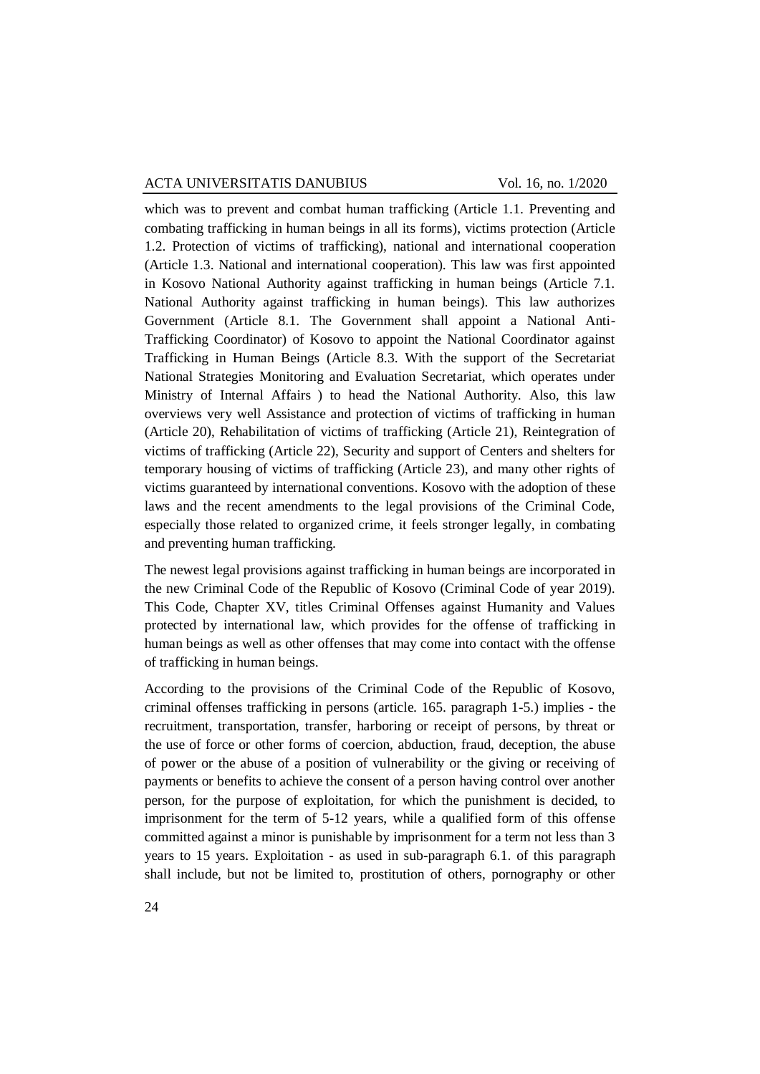which was to prevent and combat human trafficking (Article 1.1. Preventing and combating trafficking in human beings in all its forms), victims protection (Article 1.2. Protection of victims of trafficking), national and international cooperation (Article 1.3. National and international cooperation). This law was first appointed in Kosovo National Authority against trafficking in human beings (Article 7.1. National Authority against trafficking in human beings). This law authorizes Government (Article 8.1. The Government shall appoint a National Anti-Trafficking Coordinator) of Kosovo to appoint the National Coordinator against Trafficking in Human Beings (Article 8.3. With the support of the Secretariat National Strategies Monitoring and Evaluation Secretariat, which operates under Ministry of Internal Affairs ) to head the National Authority. Also, this law overviews very well Assistance and protection of victims of trafficking in human (Article 20), Rehabilitation of victims of trafficking (Article 21), Reintegration of victims of trafficking (Article 22), Security and support of Centers and shelters for temporary housing of victims of trafficking (Article 23), and many other rights of victims guaranteed by international conventions. Kosovo with the adoption of these laws and the recent amendments to the legal provisions of the Criminal Code, especially those related to organized crime, it feels stronger legally, in combating and preventing human trafficking.

The newest legal provisions against trafficking in human beings are incorporated in the new Criminal Code of the Republic of Kosovo (Criminal Code of year 2019). This Code, Chapter XV, titles Criminal Offenses against Humanity and Values protected by international law, which provides for the offense of trafficking in human beings as well as other offenses that may come into contact with the offense of trafficking in human beings.

According to the provisions of the Criminal Code of the Republic of Kosovo, criminal offenses trafficking in persons (article. 165. paragraph 1-5.) implies - the recruitment, transportation, transfer, harboring or receipt of persons, by threat or the use of force or other forms of coercion, abduction, fraud, deception, the abuse of power or the abuse of a position of vulnerability or the giving or receiving of payments or benefits to achieve the consent of a person having control over another person, for the purpose of exploitation, for which the punishment is decided, to imprisonment for the term of 5-12 years, while a qualified form of this offense committed against a minor is punishable by imprisonment for a term not less than 3 years to 15 years. Exploitation - as used in sub-paragraph 6.1. of this paragraph shall include, but not be limited to, prostitution of others, pornography or other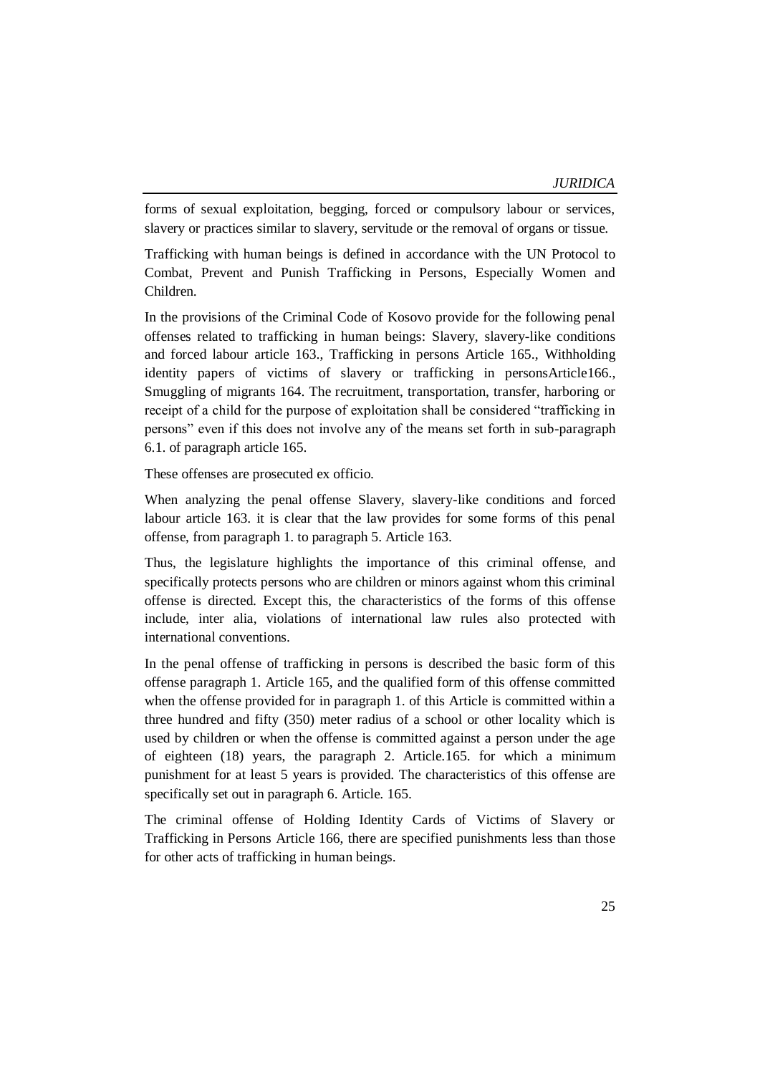forms of sexual exploitation, begging, forced or compulsory labour or services, slavery or practices similar to slavery, servitude or the removal of organs or tissue.

Trafficking with human beings is defined in accordance with the UN Protocol to Combat, Prevent and Punish Trafficking in Persons, Especially Women and Children.

In the provisions of the Criminal Code of Kosovo provide for the following penal offenses related to trafficking in human beings: Slavery, slavery-like conditions and forced labour article 163., Trafficking in persons Article 165., Withholding identity papers of victims of slavery or trafficking in personsArticle166., Smuggling of migrants 164. The recruitment, transportation, transfer, harboring or receipt of a child for the purpose of exploitation shall be considered "trafficking in persons" even if this does not involve any of the means set forth in sub-paragraph 6.1. of paragraph article 165.

These offenses are prosecuted ex officio.

When analyzing the penal offense Slavery, slavery-like conditions and forced labour article 163. it is clear that the law provides for some forms of this penal offense, from paragraph 1. to paragraph 5. Article 163.

Thus, the legislature highlights the importance of this criminal offense, and specifically protects persons who are children or minors against whom this criminal offense is directed. Except this, the characteristics of the forms of this offense include, inter alia, violations of international law rules also protected with international conventions.

In the penal offense of trafficking in persons is described the basic form of this offense paragraph 1. Article 165, and the qualified form of this offense committed when the offense provided for in paragraph 1. of this Article is committed within a three hundred and fifty (350) meter radius of a school or other locality which is used by children or when the offense is committed against a person under the age of eighteen (18) years, the paragraph 2. Article.165. for which a minimum punishment for at least 5 years is provided. The characteristics of this offense are specifically set out in paragraph 6. Article. 165.

The criminal offense of Holding Identity Cards of Victims of Slavery or Trafficking in Persons Article 166, there are specified punishments less than those for other acts of trafficking in human beings.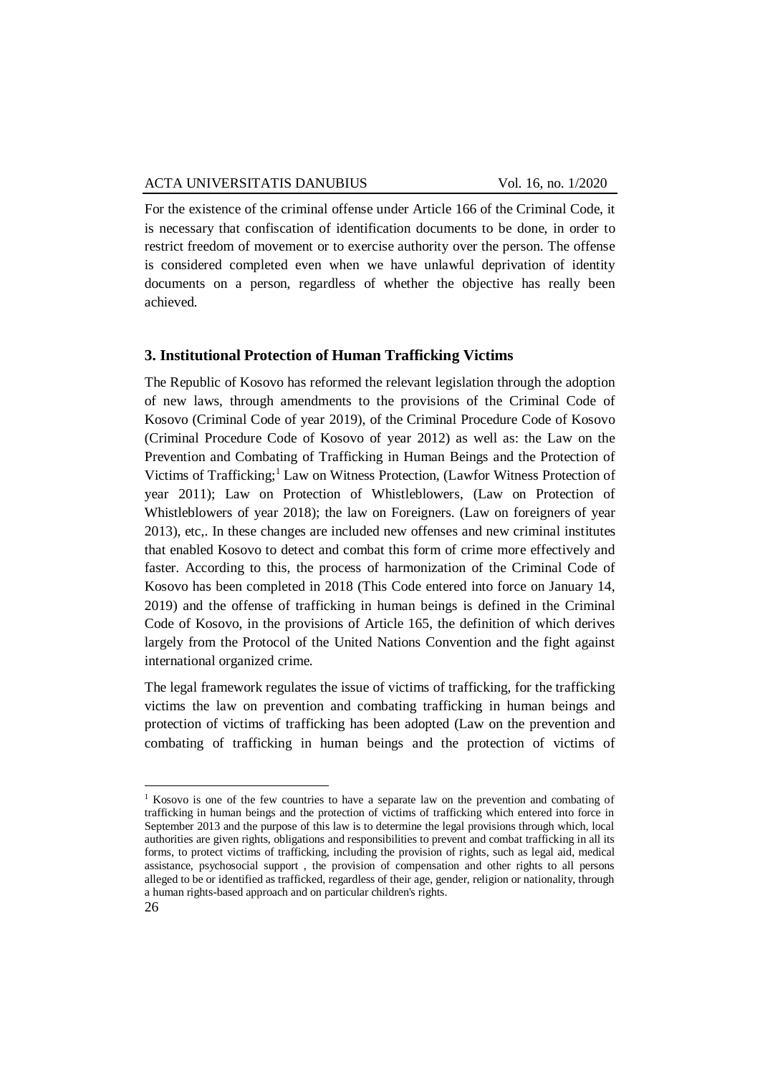For the existence of the criminal offense under Article 166 of the Criminal Code, it is necessary that confiscation of identification documents to be done, in order to restrict freedom of movement or to exercise authority over the person. The offense is considered completed even when we have unlawful deprivation of identity documents on a person, regardless of whether the objective has really been achieved.

## **3. Institutional Protection of Human Trafficking Victims**

The Republic of Kosovo has reformed the relevant legislation through the adoption of new laws, through amendments to the provisions of the Criminal Code of Kosovo (Criminal Code of year 2019), of the Criminal Procedure Code of Kosovo (Criminal Procedure Code of Kosovo of year 2012) as well as: the Law on the Prevention and Combating of Trafficking in Human Beings and the Protection of Victims of Trafficking;<sup>1</sup> Law on Witness Protection, (Lawfor Witness Protection of year 2011); Law on Protection of Whistleblowers, (Law on Protection of Whistleblowers of year 2018); the law on Foreigners. (Law on foreigners of year 2013), etc,. In these changes are included new offenses and new criminal institutes that enabled Kosovo to detect and combat this form of crime more effectively and faster. According to this, the process of harmonization of the Criminal Code of Kosovo has been completed in 2018 (This Code entered into force on January 14, 2019) and the offense of trafficking in human beings is defined in the Criminal Code of Kosovo, in the provisions of Article 165, the definition of which derives largely from the Protocol of the United Nations Convention and the fight against international organized crime.

The legal framework regulates the issue of victims of trafficking, for the trafficking victims the law on prevention and combating trafficking in human beings and protection of victims of trafficking has been adopted (Law on the prevention and combating of trafficking in human beings and the protection of victims of

**.** 

<sup>&</sup>lt;sup>1</sup> Kosovo is one of the few countries to have a separate law on the prevention and combating of trafficking in human beings and the protection of victims of trafficking which entered into force in September 2013 and the purpose of this law is to determine the legal provisions through which, local authorities are given rights, obligations and responsibilities to prevent and combat trafficking in all its forms, to protect victims of trafficking, including the provision of rights, such as legal aid, medical assistance, psychosocial support , the provision of compensation and other rights to all persons alleged to be or identified as trafficked, regardless of their age, gender, religion or nationality, through a human rights-based approach and on particular children's rights.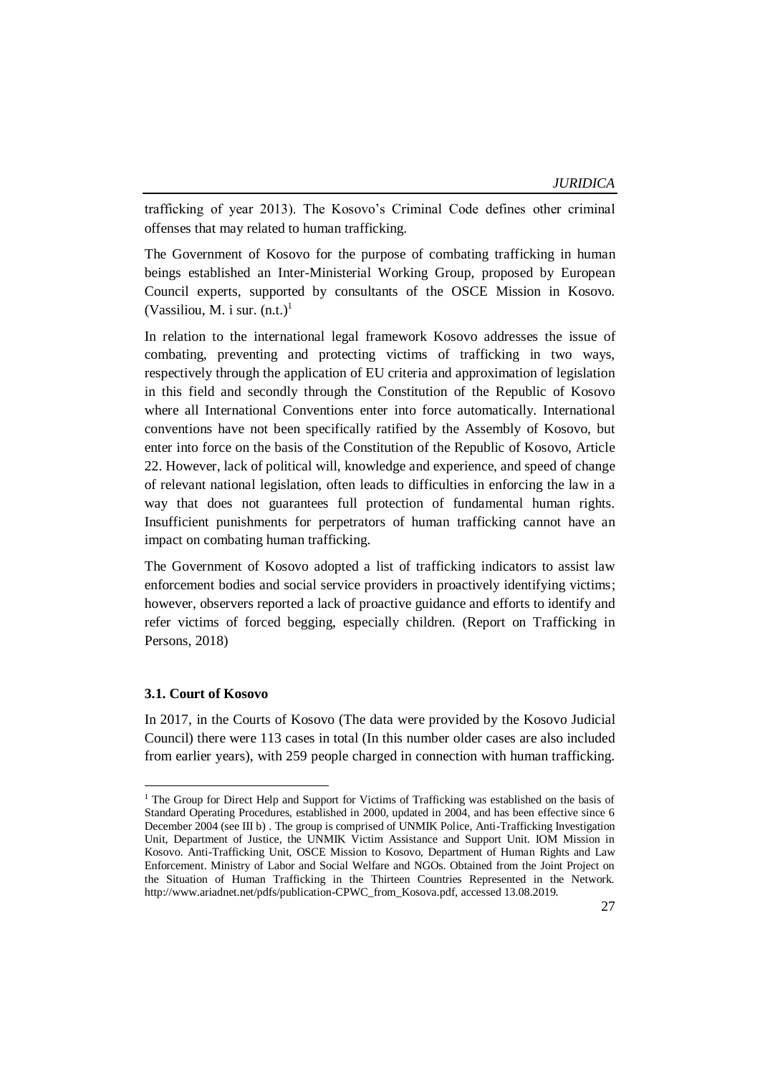trafficking of year 2013). The Kosovo's Criminal Code defines other criminal offenses that may related to human trafficking.

The Government of Kosovo for the purpose of combating trafficking in human beings established an Inter-Ministerial Working Group, proposed by European Council experts, supported by consultants of the OSCE Mission in Kosovo. (Vassiliou, M. i sur.  $(n.t.)<sup>1</sup>$ 

In relation to the international legal framework Kosovo addresses the issue of combating, preventing and protecting victims of trafficking in two ways, respectively through the application of EU criteria and approximation of legislation in this field and secondly through the Constitution of the Republic of Kosovo where all International Conventions enter into force automatically. International conventions have not been specifically ratified by the Assembly of Kosovo, but enter into force on the basis of the Constitution of the Republic of Kosovo, Article 22. However, lack of political will, knowledge and experience, and speed of change of relevant national legislation, often leads to difficulties in enforcing the law in a way that does not guarantees full protection of fundamental human rights. Insufficient punishments for perpetrators of human trafficking cannot have an impact on combating human trafficking.

The Government of Kosovo adopted a list of trafficking indicators to assist law enforcement bodies and social service providers in proactively identifying victims; however, observers reported a lack of proactive guidance and efforts to identify and refer victims of forced begging, especially children. (Report on Trafficking in Persons, 2018)

#### **3.1. Court of Kosovo**

**.** 

In 2017, in the Courts of Kosovo (The data were provided by the Kosovo Judicial Council) there were 113 cases in total (In this number older cases are also included from earlier years), with 259 people charged in connection with human trafficking.

<sup>&</sup>lt;sup>1</sup> The Group for Direct Help and Support for Victims of Trafficking was established on the basis of Standard Operating Procedures, established in 2000, updated in 2004, and has been effective since 6 December 2004 (see III b) . The group is comprised of UNMIK Police, Anti-Trafficking Investigation Unit, Department of Justice, the UNMIK Victim Assistance and Support Unit. IOM Mission in Kosovo. Anti-Trafficking Unit, OSCE Mission to Kosovo, Department of Human Rights and Law Enforcement. Ministry of Labor and Social Welfare and NGOs. Obtained from the Joint Project on the Situation of Human Trafficking in the Thirteen Countries Represented in the Network. http://www.ariadnet.net/pdfs/publication-CPWC\_from\_Kosova.pdf, accessed 13.08.2019.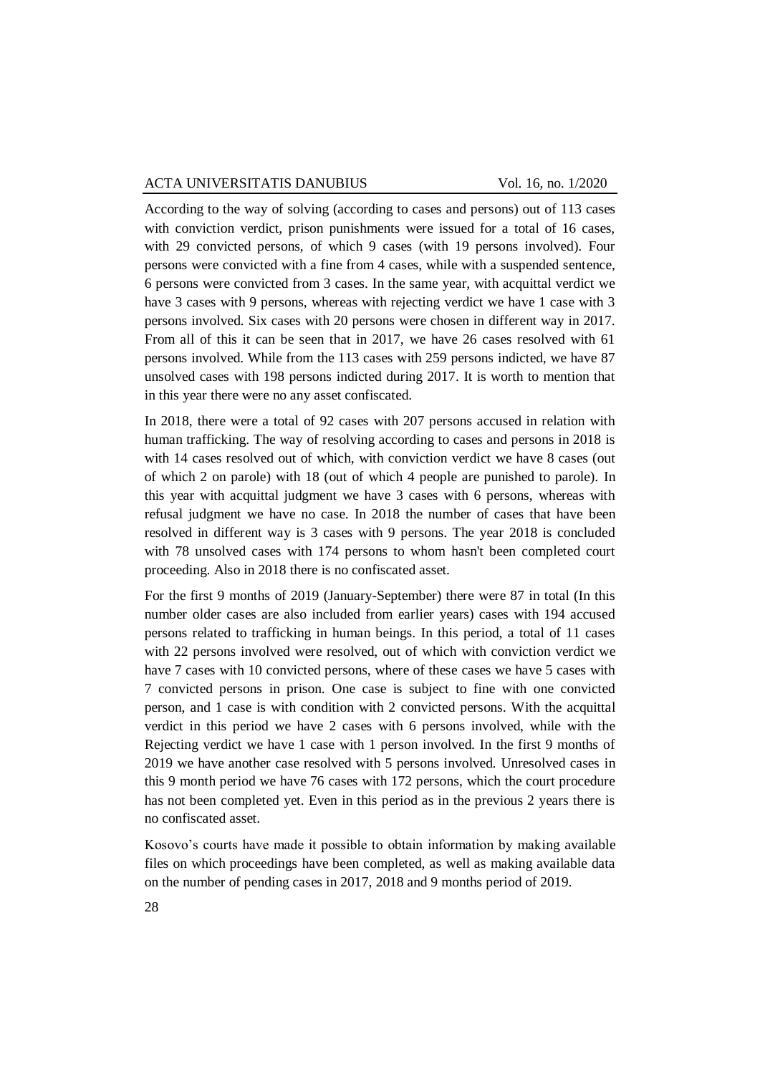According to the way of solving (according to cases and persons) out of 113 cases with conviction verdict, prison punishments were issued for a total of 16 cases, with 29 convicted persons, of which 9 cases (with 19 persons involved). Four persons were convicted with a fine from 4 cases, while with a suspended sentence, 6 persons were convicted from 3 cases. In the same year, with acquittal verdict we have 3 cases with 9 persons, whereas with rejecting verdict we have 1 case with 3 persons involved. Six cases with 20 persons were chosen in different way in 2017. From all of this it can be seen that in 2017, we have 26 cases resolved with 61 persons involved. While from the 113 cases with 259 persons indicted, we have 87 unsolved cases with 198 persons indicted during 2017. It is worth to mention that in this year there were no any asset confiscated.

In 2018, there were a total of 92 cases with 207 persons accused in relation with human trafficking. The way of resolving according to cases and persons in 2018 is with 14 cases resolved out of which, with conviction verdict we have 8 cases (out of which 2 on parole) with 18 (out of which 4 people are punished to parole). In this year with acquittal judgment we have 3 cases with 6 persons, whereas with refusal judgment we have no case. In 2018 the number of cases that have been resolved in different way is 3 cases with 9 persons. The year 2018 is concluded with 78 unsolved cases with 174 persons to whom hasn't been completed court proceeding. Also in 2018 there is no confiscated asset.

For the first 9 months of 2019 (January-September) there were 87 in total (In this number older cases are also included from earlier years) cases with 194 accused persons related to trafficking in human beings. In this period, a total of 11 cases with 22 persons involved were resolved, out of which with conviction verdict we have 7 cases with 10 convicted persons, where of these cases we have 5 cases with 7 convicted persons in prison. One case is subject to fine with one convicted person, and 1 case is with condition with 2 convicted persons. With the acquittal verdict in this period we have 2 cases with 6 persons involved, while with the Rejecting verdict we have 1 case with 1 person involved. In the first 9 months of 2019 we have another case resolved with 5 persons involved. Unresolved cases in this 9 month period we have 76 cases with 172 persons, which the court procedure has not been completed yet. Even in this period as in the previous 2 years there is no confiscated asset.

Kosovo's courts have made it possible to obtain information by making available files on which proceedings have been completed, as well as making available data on the number of pending cases in 2017, 2018 and 9 months period of 2019.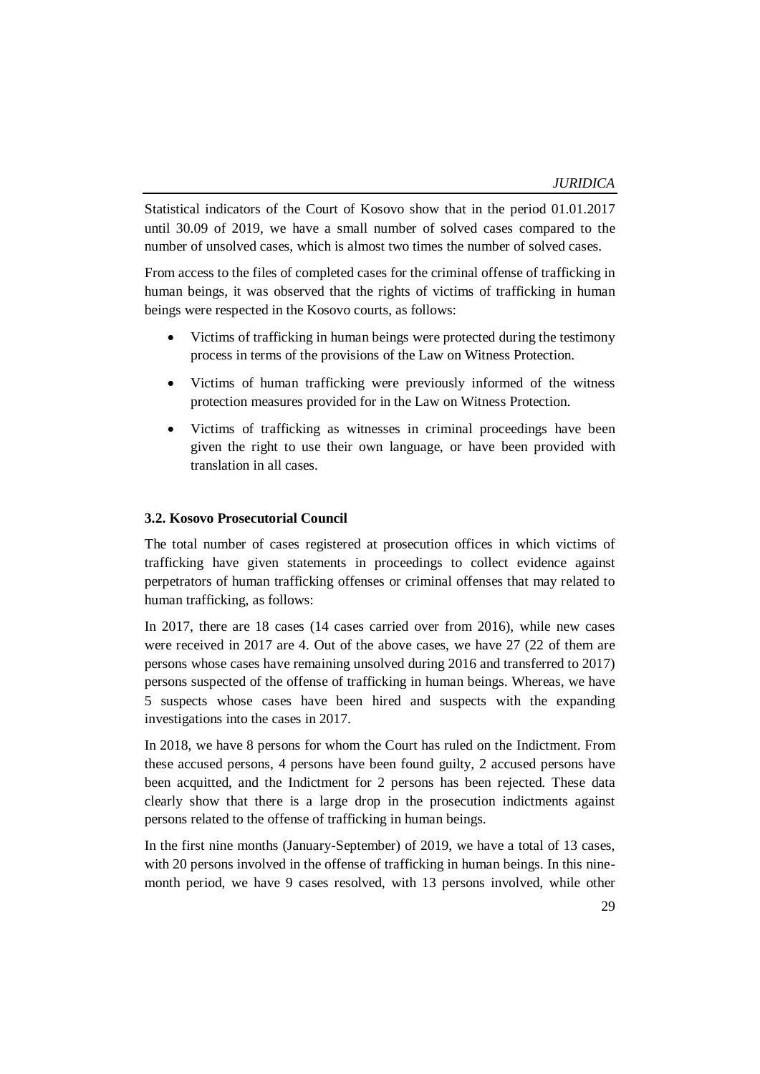Statistical indicators of the Court of Kosovo show that in the period 01.01.2017 until 30.09 of 2019, we have a small number of solved cases compared to the number of unsolved cases, which is almost two times the number of solved cases.

From access to the files of completed cases for the criminal offense of trafficking in human beings, it was observed that the rights of victims of trafficking in human beings were respected in the Kosovo courts, as follows:

- Victims of trafficking in human beings were protected during the testimony process in terms of the provisions of the Law on Witness Protection.
- Victims of human trafficking were previously informed of the witness protection measures provided for in the Law on Witness Protection.
- Victims of trafficking as witnesses in criminal proceedings have been given the right to use their own language, or have been provided with translation in all cases.

#### **3.2. Kosovo Prosecutorial Council**

The total number of cases registered at prosecution offices in which victims of trafficking have given statements in proceedings to collect evidence against perpetrators of human trafficking offenses or criminal offenses that may related to human trafficking, as follows:

In 2017, there are 18 cases (14 cases carried over from 2016), while new cases were received in 2017 are 4. Out of the above cases, we have 27 (22 of them are persons whose cases have remaining unsolved during 2016 and transferred to 2017) persons suspected of the offense of trafficking in human beings. Whereas, we have 5 suspects whose cases have been hired and suspects with the expanding investigations into the cases in 2017.

In 2018, we have 8 persons for whom the Court has ruled on the Indictment. From these accused persons, 4 persons have been found guilty, 2 accused persons have been acquitted, and the Indictment for 2 persons has been rejected. These data clearly show that there is a large drop in the prosecution indictments against persons related to the offense of trafficking in human beings.

In the first nine months (January-September) of 2019, we have a total of 13 cases, with 20 persons involved in the offense of trafficking in human beings. In this ninemonth period, we have 9 cases resolved, with 13 persons involved, while other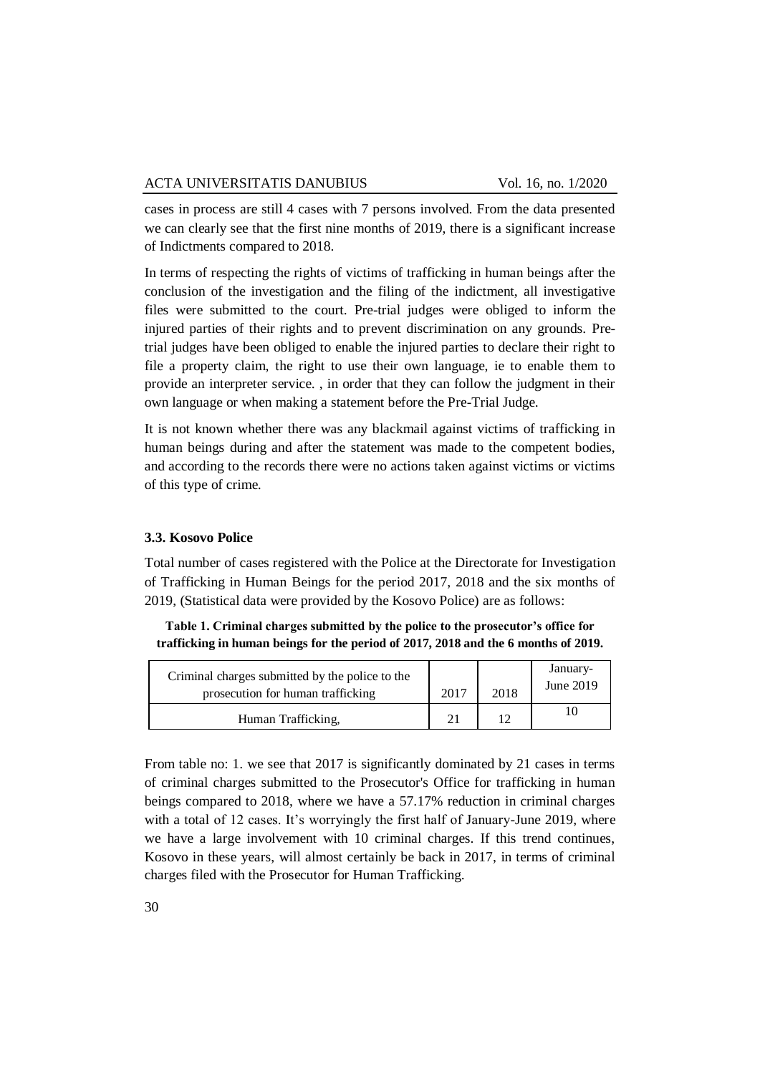cases in process are still 4 cases with 7 persons involved. From the data presented we can clearly see that the first nine months of 2019, there is a significant increase of Indictments compared to 2018.

In terms of respecting the rights of victims of trafficking in human beings after the conclusion of the investigation and the filing of the indictment, all investigative files were submitted to the court. Pre-trial judges were obliged to inform the injured parties of their rights and to prevent discrimination on any grounds. Pretrial judges have been obliged to enable the injured parties to declare their right to file a property claim, the right to use their own language, ie to enable them to provide an interpreter service. , in order that they can follow the judgment in their own language or when making a statement before the Pre-Trial Judge.

It is not known whether there was any blackmail against victims of trafficking in human beings during and after the statement was made to the competent bodies, and according to the records there were no actions taken against victims or victims of this type of crime.

## **3.3. Kosovo Police**

Total number of cases registered with the Police at the Directorate for Investigation of Trafficking in Human Beings for the period 2017, 2018 and the six months of 2019, (Statistical data were provided by the Kosovo Police) are as follows:

**Table 1. Criminal charges submitted by the police to the prosecutor's office for trafficking in human beings for the period of 2017, 2018 and the 6 months of 2019.**

| Criminal charges submitted by the police to the<br>prosecution for human trafficking | 2017 | 2018 | January-<br>June 2019 |
|--------------------------------------------------------------------------------------|------|------|-----------------------|
| Human Trafficking,                                                                   | 21   |      |                       |

From table no: 1. we see that 2017 is significantly dominated by 21 cases in terms of criminal charges submitted to the Prosecutor's Office for trafficking in human beings compared to 2018, where we have a 57.17% reduction in criminal charges with a total of 12 cases. It's worryingly the first half of January-June 2019, where we have a large involvement with 10 criminal charges. If this trend continues, Kosovo in these years, will almost certainly be back in 2017, in terms of criminal charges filed with the Prosecutor for Human Trafficking.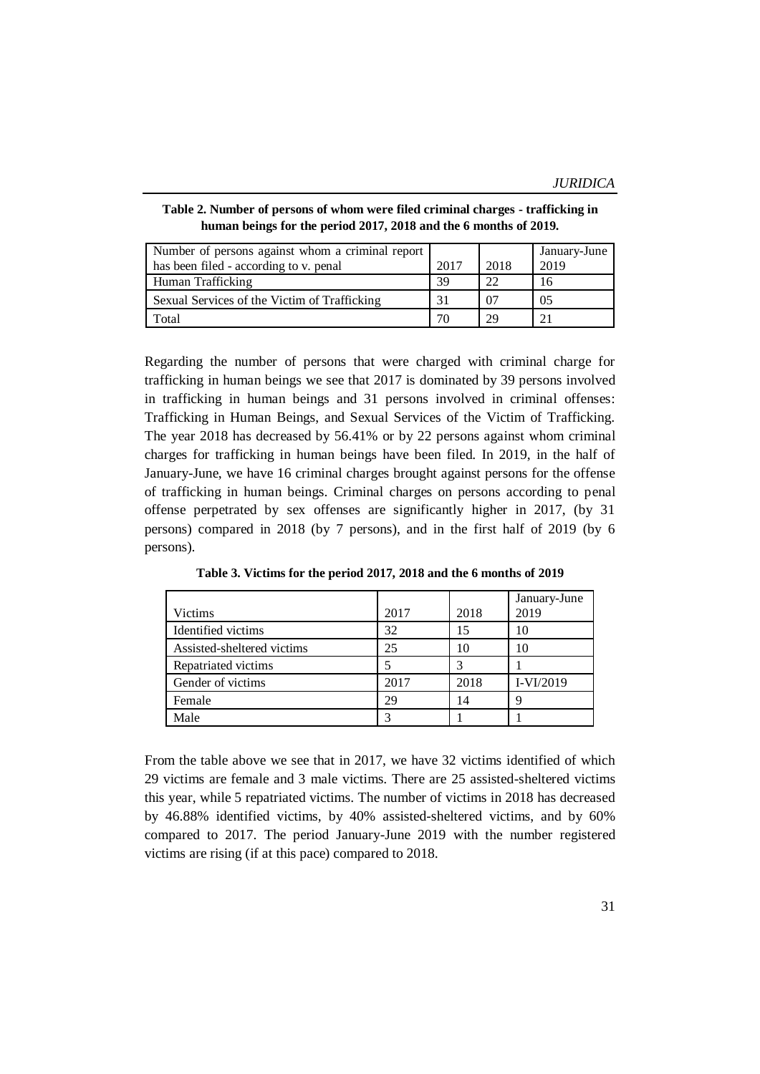*JURIDICA*

| Table 2. Number of persons of whom were filed criminal charges - trafficking in |  |
|---------------------------------------------------------------------------------|--|
| human beings for the period 2017, 2018 and the 6 months of 2019.                |  |

| Number of persons against whom a criminal report |      |      | January-June   |
|--------------------------------------------------|------|------|----------------|
| has been filed - according to v. penal           | 2017 | 2018 | 2019           |
| Human Trafficking                                | 39   |      | 16             |
| Sexual Services of the Victim of Trafficking     | 31   | 07   | 0 <sub>5</sub> |
| Total                                            |      |      | 21             |

Regarding the number of persons that were charged with criminal charge for trafficking in human beings we see that 2017 is dominated by 39 persons involved in trafficking in human beings and 31 persons involved in criminal offenses: Trafficking in Human Beings, and Sexual Services of the Victim of Trafficking. The year 2018 has decreased by 56.41% or by 22 persons against whom criminal charges for trafficking in human beings have been filed. In 2019, in the half of January-June, we have 16 criminal charges brought against persons for the offense of trafficking in human beings. Criminal charges on persons according to penal offense perpetrated by sex offenses are significantly higher in 2017, (by 31 persons) compared in 2018 (by 7 persons), and in the first half of 2019 (by 6 persons).

|                            |      |      | January-June |
|----------------------------|------|------|--------------|
| Victims                    | 2017 | 2018 | 2019         |
| Identified victims         | 32   | 15   | 10           |
| Assisted-sheltered victims | 25   | 10   | 10           |
| Repatriated victims        |      |      |              |
| Gender of victims          | 2017 | 2018 | $I-VI/2019$  |
| Female                     | 29   | 14   | Q            |
| Male                       |      |      |              |

**Table 3. Victims for the period 2017, 2018 and the 6 months of 2019**

From the table above we see that in 2017, we have 32 victims identified of which 29 victims are female and 3 male victims. There are 25 assisted-sheltered victims this year, while 5 repatriated victims. The number of victims in 2018 has decreased by 46.88% identified victims, by 40% assisted-sheltered victims, and by 60% compared to 2017. The period January-June 2019 with the number registered victims are rising (if at this pace) compared to 2018.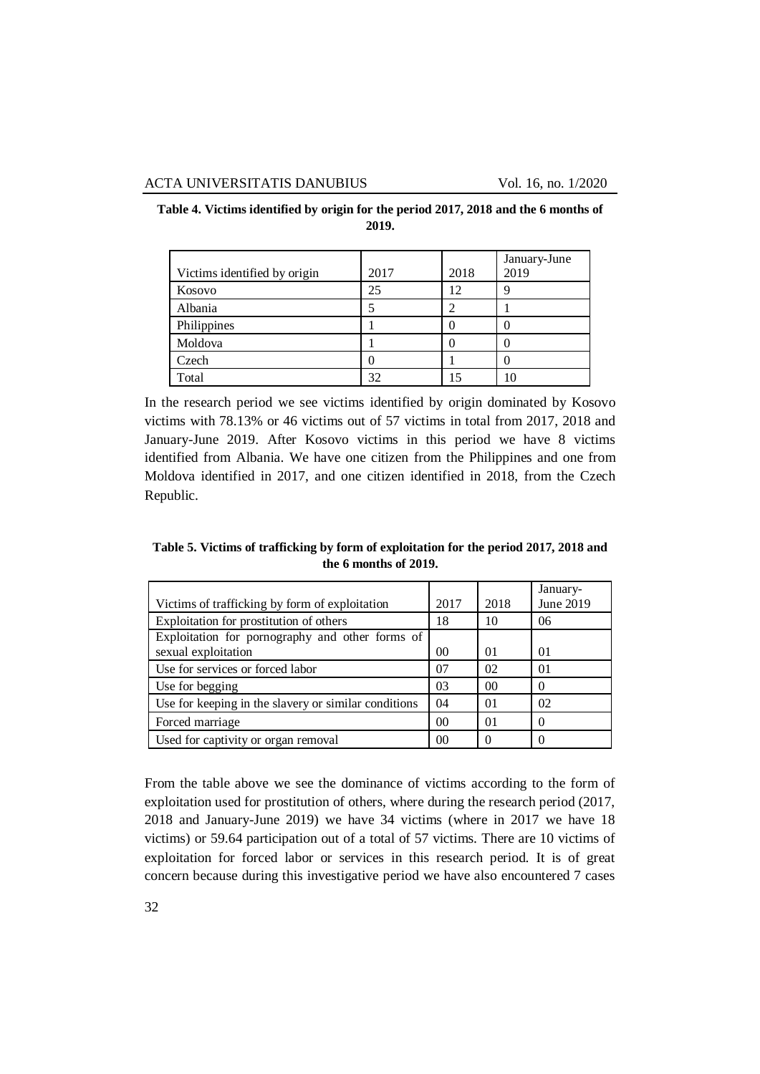| Victims identified by origin | 2017 | 2018 | January-June<br>2019 |
|------------------------------|------|------|----------------------|
| Kosovo                       | 25   | 12   |                      |
| Albania                      |      |      |                      |
| Philippines                  |      |      |                      |
| Moldova                      |      |      |                      |
| Czech                        |      |      |                      |
| Total                        | 32   |      |                      |

**Table 4. Victims identified by origin for the period 2017, 2018 and the 6 months of 2019.**

In the research period we see victims identified by origin dominated by Kosovo victims with 78.13% or 46 victims out of 57 victims in total from 2017, 2018 and January-June 2019. After Kosovo victims in this period we have 8 victims identified from Albania. We have one citizen from the Philippines and one from Moldova identified in 2017, and one citizen identified in 2018, from the Czech Republic.

**Table 5. Victims of trafficking by form of exploitation for the period 2017, 2018 and the 6 months of 2019.**

| Victims of trafficking by form of exploitation       | 2017 | 2018     | January-<br>June 2019 |
|------------------------------------------------------|------|----------|-----------------------|
|                                                      | 18   |          |                       |
| Exploitation for prostitution of others              |      | 10       | 06                    |
| Exploitation for pornography and other forms of      |      |          |                       |
| sexual exploitation                                  | 00   | $\Omega$ | 01                    |
| Use for services or forced labor                     | 07   | 02       | 01                    |
| Use for begging                                      | 03   | 00       |                       |
| Use for keeping in the slavery or similar conditions | 04   | $\Omega$ | 02                    |
| Forced marriage                                      | 00   | $\Omega$ | 0                     |
| Used for captivity or organ removal                  | 00   |          |                       |

From the table above we see the dominance of victims according to the form of exploitation used for prostitution of others, where during the research period (2017, 2018 and January-June 2019) we have 34 victims (where in 2017 we have 18 victims) or 59.64 participation out of a total of 57 victims. There are 10 victims of exploitation for forced labor or services in this research period. It is of great concern because during this investigative period we have also encountered 7 cases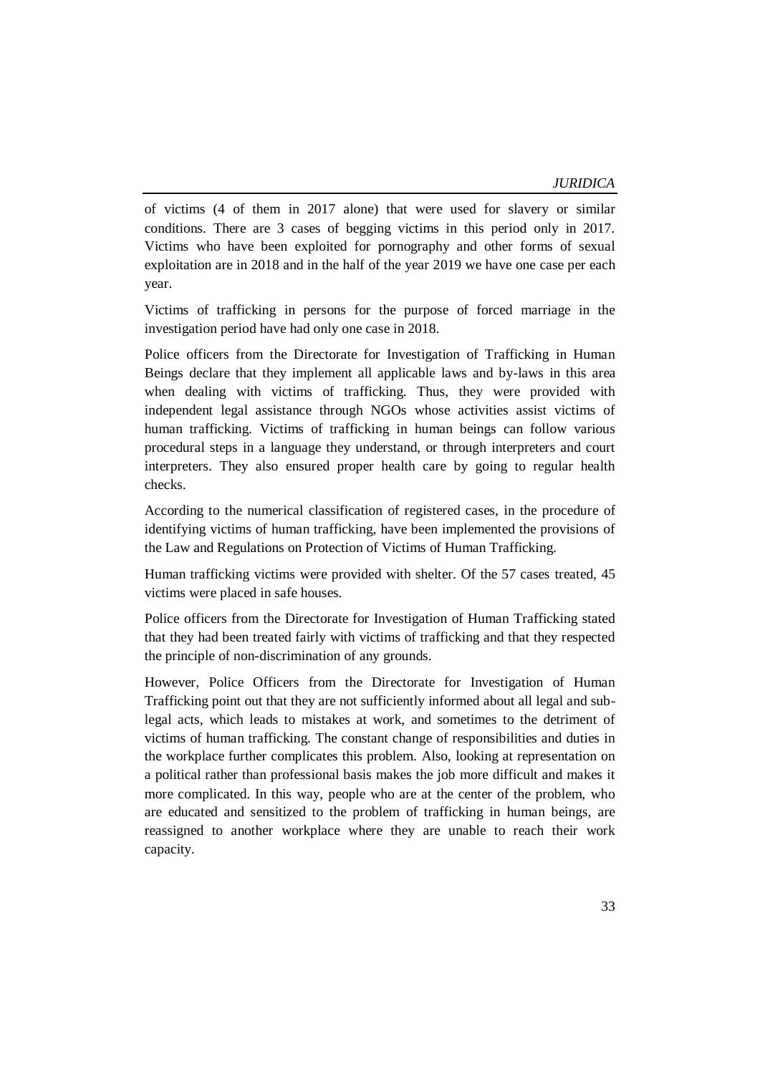of victims (4 of them in 2017 alone) that were used for slavery or similar conditions. There are 3 cases of begging victims in this period only in 2017. Victims who have been exploited for pornography and other forms of sexual exploitation are in 2018 and in the half of the year 2019 we have one case per each year.

Victims of trafficking in persons for the purpose of forced marriage in the investigation period have had only one case in 2018.

Police officers from the Directorate for Investigation of Trafficking in Human Beings declare that they implement all applicable laws and by-laws in this area when dealing with victims of trafficking. Thus, they were provided with independent legal assistance through NGOs whose activities assist victims of human trafficking. Victims of trafficking in human beings can follow various procedural steps in a language they understand, or through interpreters and court interpreters. They also ensured proper health care by going to regular health checks.

According to the numerical classification of registered cases, in the procedure of identifying victims of human trafficking, have been implemented the provisions of the Law and Regulations on Protection of Victims of Human Trafficking.

Human trafficking victims were provided with shelter. Of the 57 cases treated, 45 victims were placed in safe houses.

Police officers from the Directorate for Investigation of Human Trafficking stated that they had been treated fairly with victims of trafficking and that they respected the principle of non-discrimination of any grounds.

However, Police Officers from the Directorate for Investigation of Human Trafficking point out that they are not sufficiently informed about all legal and sublegal acts, which leads to mistakes at work, and sometimes to the detriment of victims of human trafficking. The constant change of responsibilities and duties in the workplace further complicates this problem. Also, looking at representation on a political rather than professional basis makes the job more difficult and makes it more complicated. In this way, people who are at the center of the problem, who are educated and sensitized to the problem of trafficking in human beings, are reassigned to another workplace where they are unable to reach their work capacity.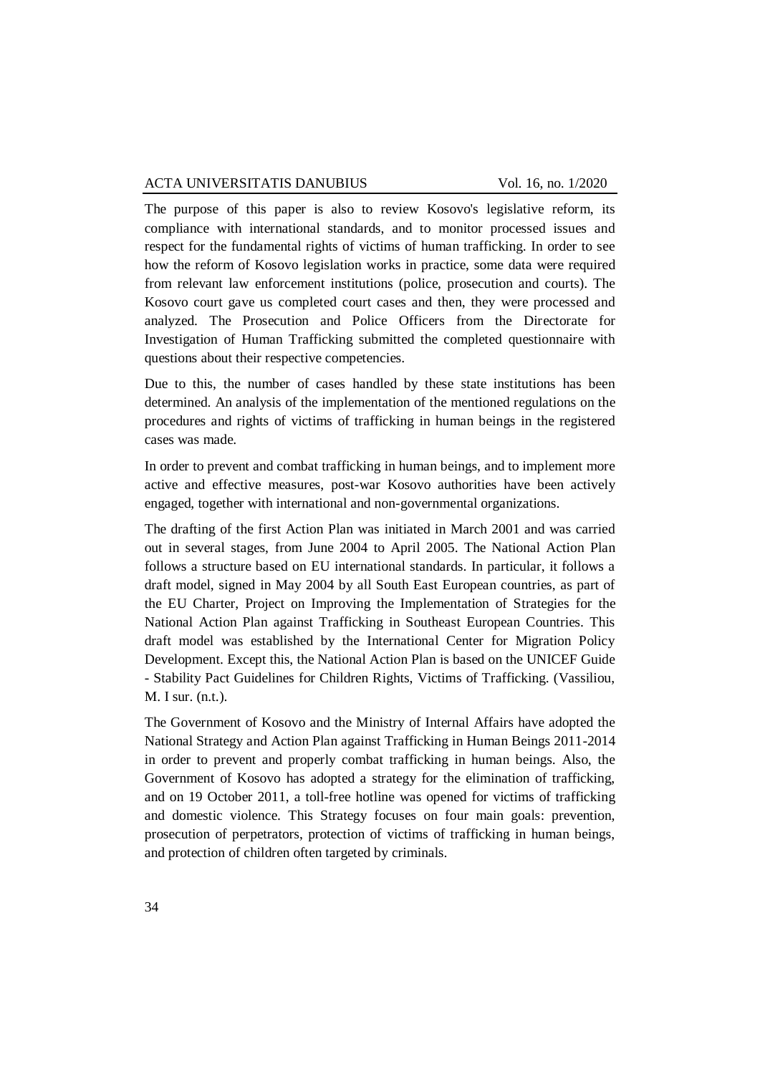The purpose of this paper is also to review Kosovo's legislative reform, its compliance with international standards, and to monitor processed issues and respect for the fundamental rights of victims of human trafficking. In order to see how the reform of Kosovo legislation works in practice, some data were required from relevant law enforcement institutions (police, prosecution and courts). The Kosovo court gave us completed court cases and then, they were processed and analyzed. The Prosecution and Police Officers from the Directorate for Investigation of Human Trafficking submitted the completed questionnaire with questions about their respective competencies.

Due to this, the number of cases handled by these state institutions has been determined. An analysis of the implementation of the mentioned regulations on the procedures and rights of victims of trafficking in human beings in the registered cases was made.

In order to prevent and combat trafficking in human beings, and to implement more active and effective measures, post-war Kosovo authorities have been actively engaged, together with international and non-governmental organizations.

The drafting of the first Action Plan was initiated in March 2001 and was carried out in several stages, from June 2004 to April 2005. The National Action Plan follows a structure based on EU international standards. In particular, it follows a draft model, signed in May 2004 by all South East European countries, as part of the EU Charter, Project on Improving the Implementation of Strategies for the National Action Plan against Trafficking in Southeast European Countries. This draft model was established by the International Center for Migration Policy Development. Except this, the National Action Plan is based on the UNICEF Guide - Stability Pact Guidelines for Children Rights, Victims of Trafficking. (Vassiliou, M. I sur. (n.t.).

The Government of Kosovo and the Ministry of Internal Affairs have adopted the National Strategy and Action Plan against Trafficking in Human Beings 2011-2014 in order to prevent and properly combat trafficking in human beings. Also, the Government of Kosovo has adopted a strategy for the elimination of trafficking, and on 19 October 2011, a toll-free hotline was opened for victims of trafficking and domestic violence. This Strategy focuses on four main goals: prevention, prosecution of perpetrators, protection of victims of trafficking in human beings, and protection of children often targeted by criminals.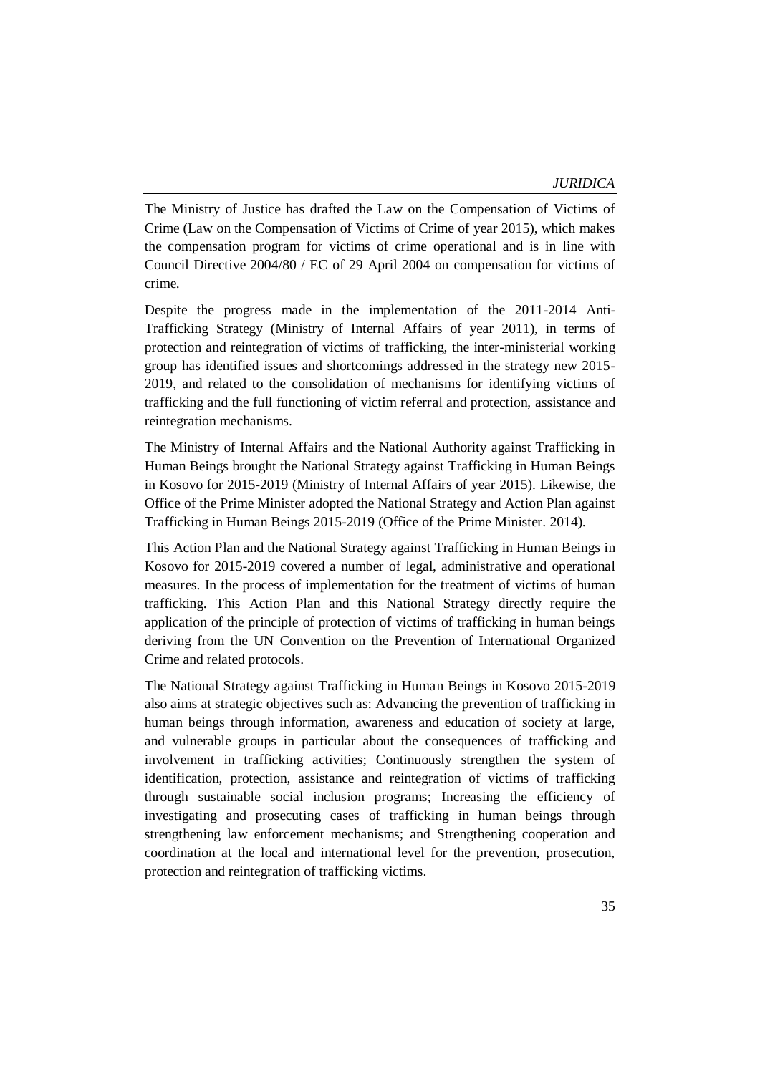The Ministry of Justice has drafted the Law on the Compensation of Victims of Crime (Law on the Compensation of Victims of Crime of year 2015), which makes the compensation program for victims of crime operational and is in line with Council Directive 2004/80 / EC of 29 April 2004 on compensation for victims of crime.

Despite the progress made in the implementation of the 2011-2014 Anti-Trafficking Strategy (Ministry of Internal Affairs of year 2011), in terms of protection and reintegration of victims of trafficking, the inter-ministerial working group has identified issues and shortcomings addressed in the strategy new 2015- 2019, and related to the consolidation of mechanisms for identifying victims of trafficking and the full functioning of victim referral and protection, assistance and reintegration mechanisms.

The Ministry of Internal Affairs and the National Authority against Trafficking in Human Beings brought the National Strategy against Trafficking in Human Beings in Kosovo for 2015-2019 (Ministry of Internal Affairs of year 2015). Likewise, the Office of the Prime Minister adopted the National Strategy and Action Plan against Trafficking in Human Beings 2015-2019 (Office of the Prime Minister. 2014).

This Action Plan and the National Strategy against Trafficking in Human Beings in Kosovo for 2015-2019 covered a number of legal, administrative and operational measures. In the process of implementation for the treatment of victims of human trafficking. This Action Plan and this National Strategy directly require the application of the principle of protection of victims of trafficking in human beings deriving from the UN Convention on the Prevention of International Organized Crime and related protocols.

The National Strategy against Trafficking in Human Beings in Kosovo 2015-2019 also aims at strategic objectives such as: Advancing the prevention of trafficking in human beings through information, awareness and education of society at large, and vulnerable groups in particular about the consequences of trafficking and involvement in trafficking activities; Continuously strengthen the system of identification, protection, assistance and reintegration of victims of trafficking through sustainable social inclusion programs; Increasing the efficiency of investigating and prosecuting cases of trafficking in human beings through strengthening law enforcement mechanisms; and Strengthening cooperation and coordination at the local and international level for the prevention, prosecution, protection and reintegration of trafficking victims.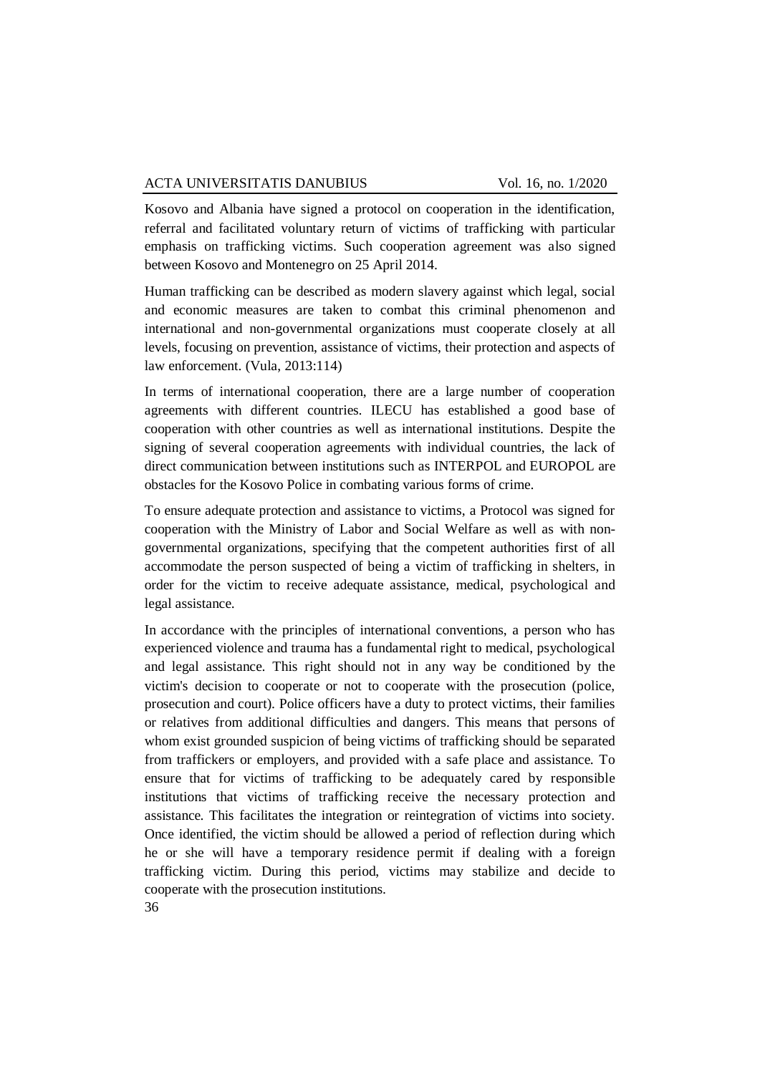Kosovo and Albania have signed a protocol on cooperation in the identification, referral and facilitated voluntary return of victims of trafficking with particular emphasis on trafficking victims. Such cooperation agreement was also signed between Kosovo and Montenegro on 25 April 2014.

Human trafficking can be described as modern slavery against which legal, social and economic measures are taken to combat this criminal phenomenon and international and non-governmental organizations must cooperate closely at all levels, focusing on prevention, assistance of victims, their protection and aspects of law enforcement. (Vula, 2013:114)

In terms of international cooperation, there are a large number of cooperation agreements with different countries. ILECU has established a good base of cooperation with other countries as well as international institutions. Despite the signing of several cooperation agreements with individual countries, the lack of direct communication between institutions such as INTERPOL and EUROPOL are obstacles for the Kosovo Police in combating various forms of crime.

To ensure adequate protection and assistance to victims, a Protocol was signed for cooperation with the Ministry of Labor and Social Welfare as well as with nongovernmental organizations, specifying that the competent authorities first of all accommodate the person suspected of being a victim of trafficking in shelters, in order for the victim to receive adequate assistance, medical, psychological and legal assistance.

In accordance with the principles of international conventions, a person who has experienced violence and trauma has a fundamental right to medical, psychological and legal assistance. This right should not in any way be conditioned by the victim's decision to cooperate or not to cooperate with the prosecution (police, prosecution and court). Police officers have a duty to protect victims, their families or relatives from additional difficulties and dangers. This means that persons of whom exist grounded suspicion of being victims of trafficking should be separated from traffickers or employers, and provided with a safe place and assistance. To ensure that for victims of trafficking to be adequately cared by responsible institutions that victims of trafficking receive the necessary protection and assistance. This facilitates the integration or reintegration of victims into society. Once identified, the victim should be allowed a period of reflection during which he or she will have a temporary residence permit if dealing with a foreign trafficking victim. During this period, victims may stabilize and decide to cooperate with the prosecution institutions.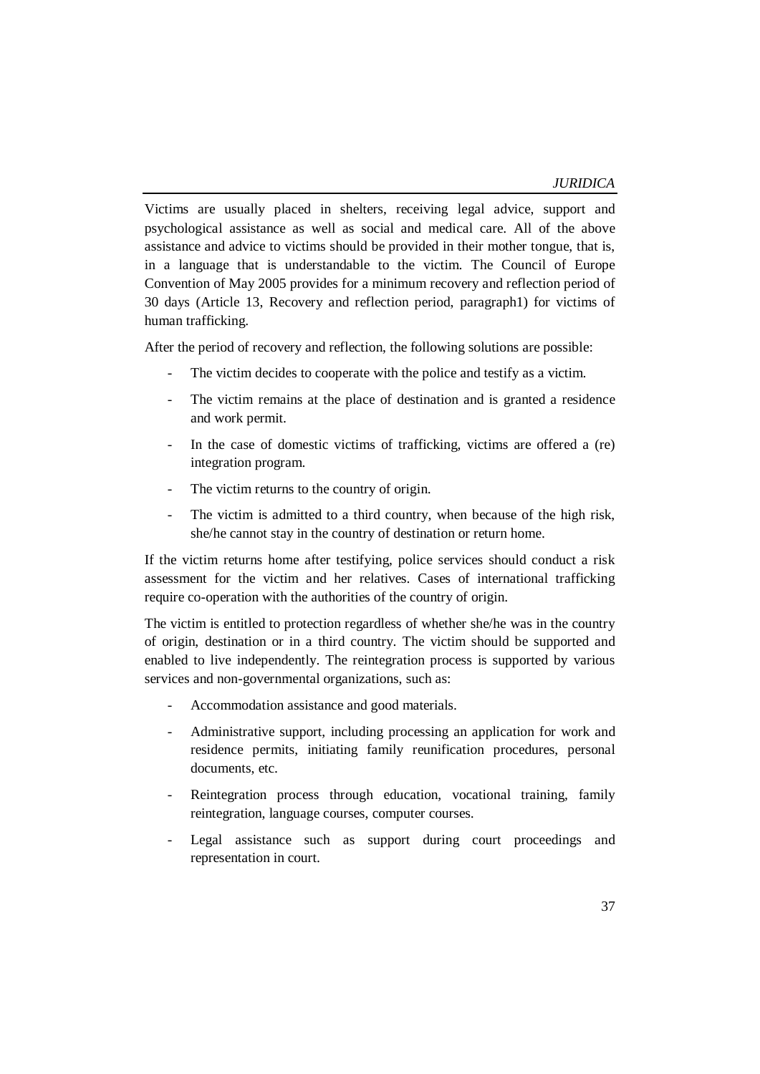Victims are usually placed in shelters, receiving legal advice, support and psychological assistance as well as social and medical care. All of the above assistance and advice to victims should be provided in their mother tongue, that is, in a language that is understandable to the victim. The Council of Europe Convention of May 2005 provides for a minimum recovery and reflection period of 30 days (Article 13, Recovery and reflection period, paragraph1) for victims of human trafficking.

After the period of recovery and reflection, the following solutions are possible:

- The victim decides to cooperate with the police and testify as a victim.
- The victim remains at the place of destination and is granted a residence and work permit.
- In the case of domestic victims of trafficking, victims are offered a (re) integration program.
- The victim returns to the country of origin.
- The victim is admitted to a third country, when because of the high risk, she/he cannot stay in the country of destination or return home.

If the victim returns home after testifying, police services should conduct a risk assessment for the victim and her relatives. Cases of international trafficking require co-operation with the authorities of the country of origin.

The victim is entitled to protection regardless of whether she/he was in the country of origin, destination or in a third country. The victim should be supported and enabled to live independently. The reintegration process is supported by various services and non-governmental organizations, such as:

- Accommodation assistance and good materials.
- Administrative support, including processing an application for work and residence permits, initiating family reunification procedures, personal documents, etc.
- Reintegration process through education, vocational training, family reintegration, language courses, computer courses.
- Legal assistance such as support during court proceedings and representation in court.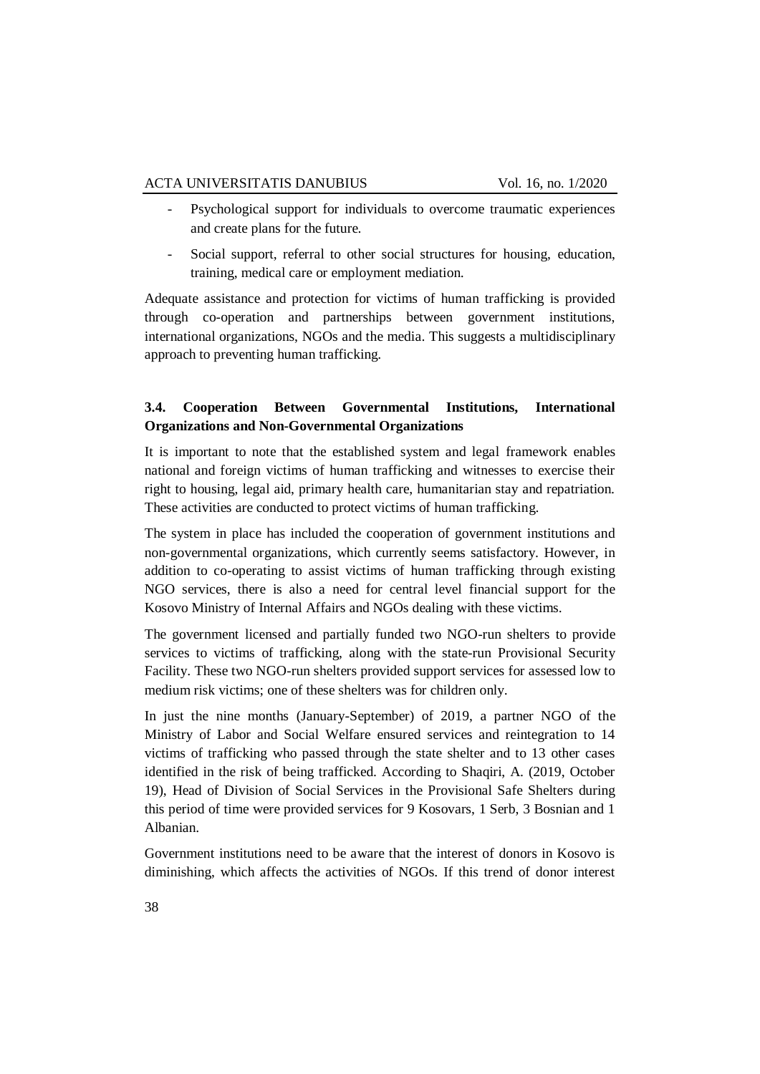- Psychological support for individuals to overcome traumatic experiences and create plans for the future.
- Social support, referral to other social structures for housing, education, training, medical care or employment mediation.

Adequate assistance and protection for victims of human trafficking is provided through co-operation and partnerships between government institutions, international organizations, NGOs and the media. This suggests a multidisciplinary approach to preventing human trafficking.

# **3.4. Cooperation Between Governmental Institutions, International Organizations and Non-Governmental Organizations**

It is important to note that the established system and legal framework enables national and foreign victims of human trafficking and witnesses to exercise their right to housing, legal aid, primary health care, humanitarian stay and repatriation. These activities are conducted to protect victims of human trafficking.

The system in place has included the cooperation of government institutions and non-governmental organizations, which currently seems satisfactory. However, in addition to co-operating to assist victims of human trafficking through existing NGO services, there is also a need for central level financial support for the Kosovo Ministry of Internal Affairs and NGOs dealing with these victims.

The government licensed and partially funded two NGO-run shelters to provide services to victims of trafficking, along with the state-run Provisional Security Facility. These two NGO-run shelters provided support services for assessed low to medium risk victims; one of these shelters was for children only.

In just the nine months (January-September) of 2019, a partner NGO of the Ministry of Labor and Social Welfare ensured services and reintegration to 14 victims of trafficking who passed through the state shelter and to 13 other cases identified in the risk of being trafficked. According to Shaqiri, A. (2019, October 19), Head of Division of Social Services in the Provisional Safe Shelters during this period of time were provided services for 9 Kosovars, 1 Serb, 3 Bosnian and 1 Albanian.

Government institutions need to be aware that the interest of donors in Kosovo is diminishing, which affects the activities of NGOs. If this trend of donor interest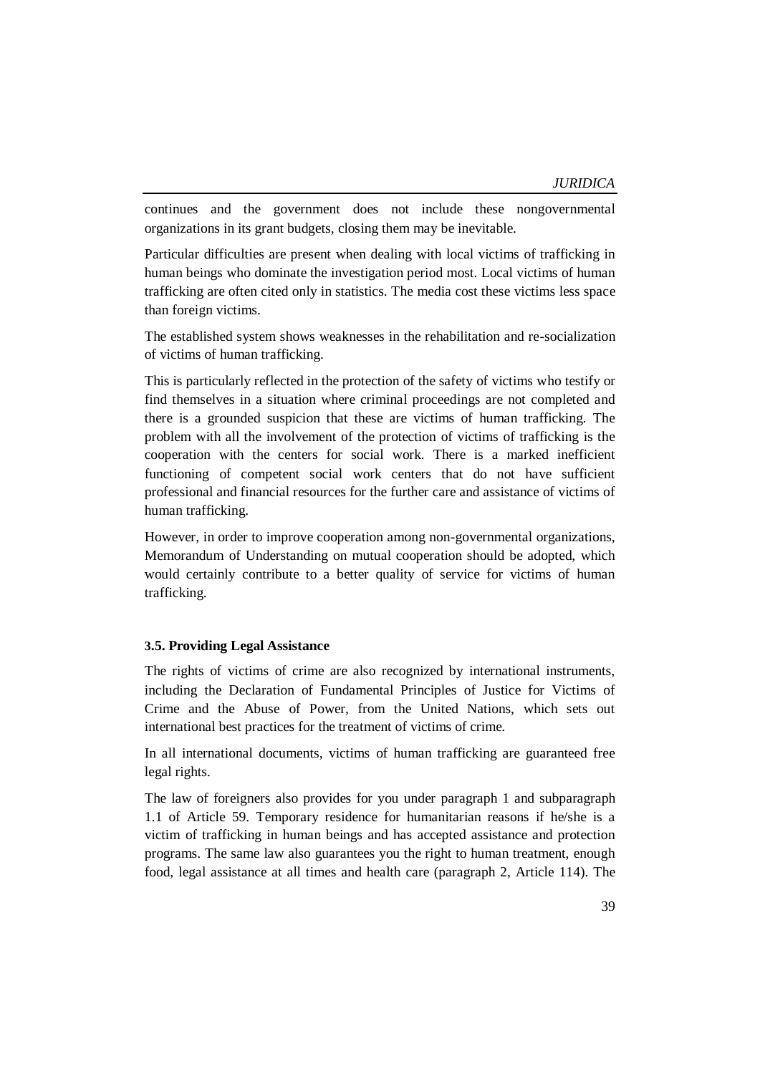continues and the government does not include these nongovernmental organizations in its grant budgets, closing them may be inevitable.

Particular difficulties are present when dealing with local victims of trafficking in human beings who dominate the investigation period most. Local victims of human trafficking are often cited only in statistics. The media cost these victims less space than foreign victims.

The established system shows weaknesses in the rehabilitation and re-socialization of victims of human trafficking.

This is particularly reflected in the protection of the safety of victims who testify or find themselves in a situation where criminal proceedings are not completed and there is a grounded suspicion that these are victims of human trafficking. The problem with all the involvement of the protection of victims of trafficking is the cooperation with the centers for social work. There is a marked inefficient functioning of competent social work centers that do not have sufficient professional and financial resources for the further care and assistance of victims of human trafficking.

However, in order to improve cooperation among non-governmental organizations, Memorandum of Understanding on mutual cooperation should be adopted, which would certainly contribute to a better quality of service for victims of human trafficking.

#### **3.5. Providing Legal Assistance**

The rights of victims of crime are also recognized by international instruments, including the Declaration of Fundamental Principles of Justice for Victims of Crime and the Abuse of Power, from the United Nations, which sets out international best practices for the treatment of victims of crime.

In all international documents, victims of human trafficking are guaranteed free legal rights.

The law of foreigners also provides for you under paragraph 1 and subparagraph 1.1 of Article 59. Temporary residence for humanitarian reasons if he/she is a victim of trafficking in human beings and has accepted assistance and protection programs. The same law also guarantees you the right to human treatment, enough food, legal assistance at all times and health care (paragraph 2, Article 114). The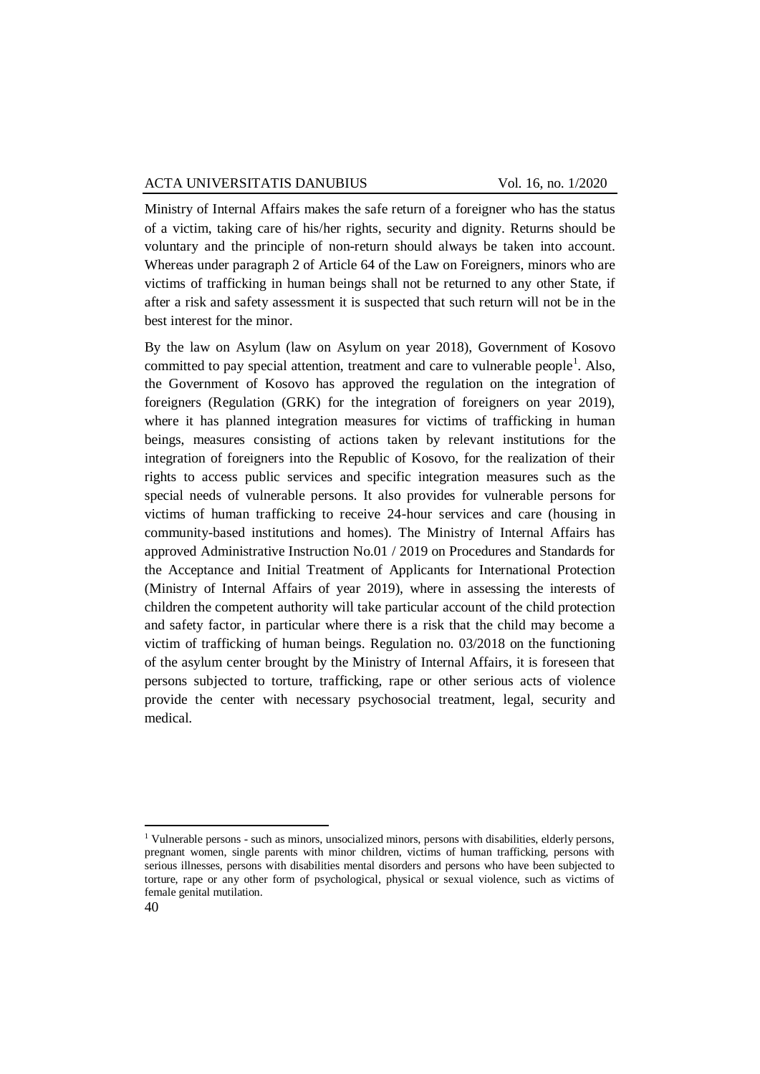Ministry of Internal Affairs makes the safe return of a foreigner who has the status of a victim, taking care of his/her rights, security and dignity. Returns should be voluntary and the principle of non-return should always be taken into account. Whereas under paragraph 2 of Article 64 of the Law on Foreigners, minors who are victims of trafficking in human beings shall not be returned to any other State, if after a risk and safety assessment it is suspected that such return will not be in the best interest for the minor.

By the law on Asylum (law on Asylum on year 2018), Government of Kosovo committed to pay special attention, treatment and care to vulnerable people<sup>1</sup>. Also, the Government of Kosovo has approved the regulation on the integration of foreigners (Regulation (GRK) for the integration of foreigners on year 2019), where it has planned integration measures for victims of trafficking in human beings, measures consisting of actions taken by relevant institutions for the integration of foreigners into the Republic of Kosovo, for the realization of their rights to access public services and specific integration measures such as the special needs of vulnerable persons. It also provides for vulnerable persons for victims of human trafficking to receive 24-hour services and care (housing in community-based institutions and homes). The Ministry of Internal Affairs has approved Administrative Instruction No.01 / 2019 on Procedures and Standards for the Acceptance and Initial Treatment of Applicants for International Protection (Ministry of Internal Affairs of year 2019), where in assessing the interests of children the competent authority will take particular account of the child protection and safety factor, in particular where there is a risk that the child may become a victim of trafficking of human beings. Regulation no. 03/2018 on the functioning of the asylum center brought by the Ministry of Internal Affairs, it is foreseen that persons subjected to torture, trafficking, rape or other serious acts of violence provide the center with necessary psychosocial treatment, legal, security and medical.

1

<sup>1</sup> Vulnerable persons - such as minors, unsocialized minors, persons with disabilities, elderly persons, pregnant women, single parents with minor children, victims of human trafficking, persons with serious illnesses, persons with disabilities mental disorders and persons who have been subjected to torture, rape or any other form of psychological, physical or sexual violence, such as victims of female genital mutilation.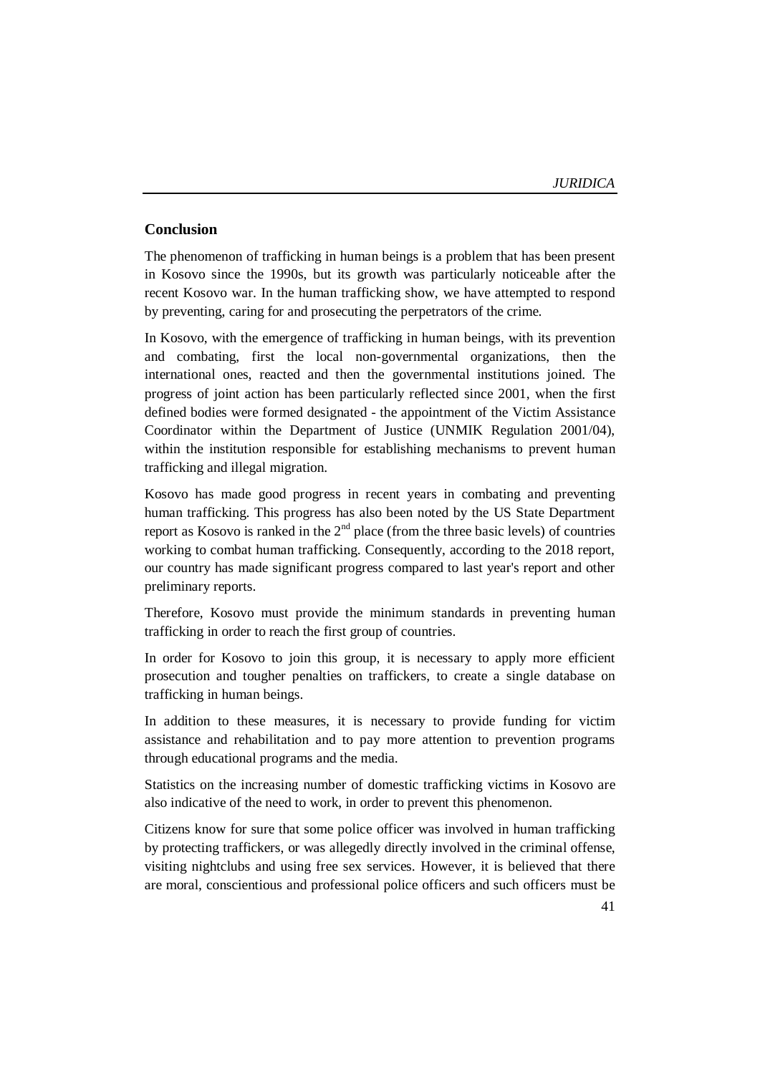# **Conclusion**

The phenomenon of trafficking in human beings is a problem that has been present in Kosovo since the 1990s, but its growth was particularly noticeable after the recent Kosovo war. In the human trafficking show, we have attempted to respond by preventing, caring for and prosecuting the perpetrators of the crime.

In Kosovo, with the emergence of trafficking in human beings, with its prevention and combating, first the local non-governmental organizations, then the international ones, reacted and then the governmental institutions joined. The progress of joint action has been particularly reflected since 2001, when the first defined bodies were formed designated - the appointment of the Victim Assistance Coordinator within the Department of Justice (UNMIK Regulation 2001/04), within the institution responsible for establishing mechanisms to prevent human trafficking and illegal migration.

Kosovo has made good progress in recent years in combating and preventing human trafficking. This progress has also been noted by the US State Department report as Kosovo is ranked in the  $2<sup>nd</sup>$  place (from the three basic levels) of countries working to combat human trafficking. Consequently, according to the 2018 report, our country has made significant progress compared to last year's report and other preliminary reports.

Therefore, Kosovo must provide the minimum standards in preventing human trafficking in order to reach the first group of countries.

In order for Kosovo to join this group, it is necessary to apply more efficient prosecution and tougher penalties on traffickers, to create a single database on trafficking in human beings.

In addition to these measures, it is necessary to provide funding for victim assistance and rehabilitation and to pay more attention to prevention programs through educational programs and the media.

Statistics on the increasing number of domestic trafficking victims in Kosovo are also indicative of the need to work, in order to prevent this phenomenon.

Citizens know for sure that some police officer was involved in human trafficking by protecting traffickers, or was allegedly directly involved in the criminal offense, visiting nightclubs and using free sex services. However, it is believed that there are moral, conscientious and professional police officers and such officers must be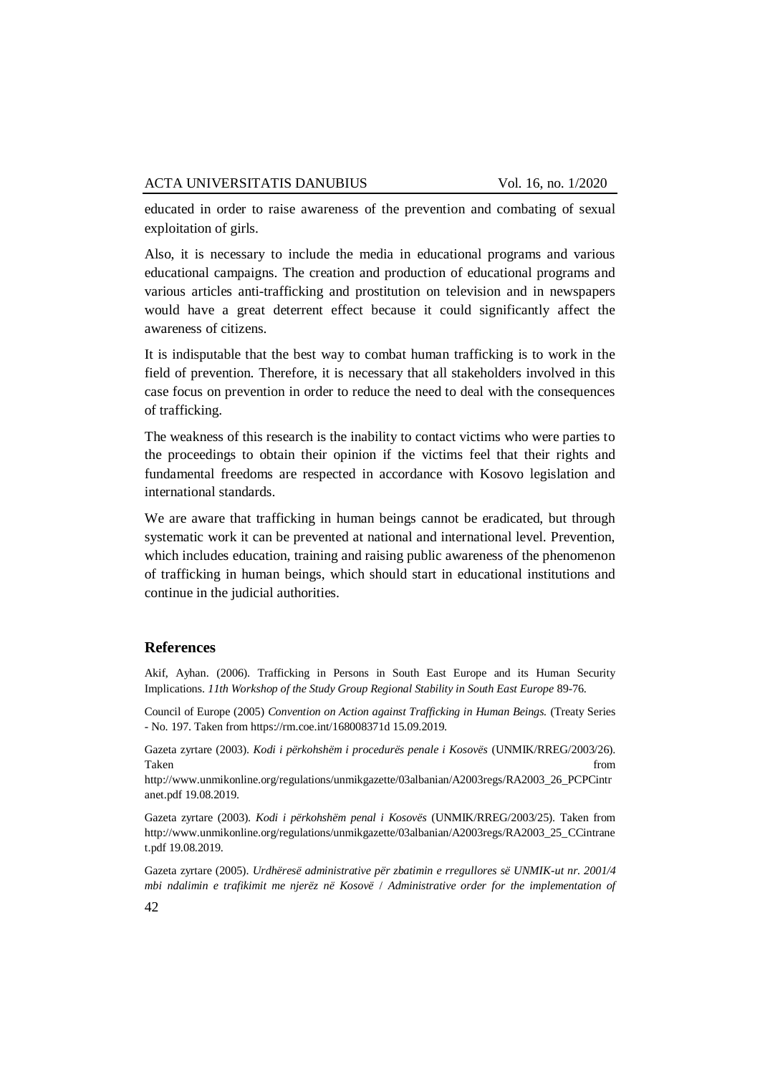educated in order to raise awareness of the prevention and combating of sexual exploitation of girls.

Also, it is necessary to include the media in educational programs and various educational campaigns. The creation and production of educational programs and various articles anti-trafficking and prostitution on television and in newspapers would have a great deterrent effect because it could significantly affect the awareness of citizens.

It is indisputable that the best way to combat human trafficking is to work in the field of prevention. Therefore, it is necessary that all stakeholders involved in this case focus on prevention in order to reduce the need to deal with the consequences of trafficking.

The weakness of this research is the inability to contact victims who were parties to the proceedings to obtain their opinion if the victims feel that their rights and fundamental freedoms are respected in accordance with Kosovo legislation and international standards.

We are aware that trafficking in human beings cannot be eradicated, but through systematic work it can be prevented at national and international level. Prevention, which includes education, training and raising public awareness of the phenomenon of trafficking in human beings, which should start in educational institutions and continue in the judicial authorities.

## **References**

Akif, Ayhan. (2006). Trafficking in Persons in South East Europe and its Human Security Implications. *11th Workshop of the Study Group Regional Stability in South East Europe* 89-76.

Council of Europe (2005) *Convention on Action against Trafficking in Human Beings.* (Treaty Series - No. 197. Taken from https://rm.coe.int/168008371d 15.09.2019.

Gazeta zyrtare (2003). *Kodi i përkohshëm i procedurës penale i Kosovës* (UNMIK/RREG/2003/26). Taken from the state of the state of the state of the state of the state of the state of the state of the state of the state of the state of the state of the state of the state of the state of the state of the state of the

http://www.unmikonline.org/regulations/unmikgazette/03albanian/A2003regs/RA2003\_26\_PCPCintr anet.pdf 19.08.2019.

Gazeta zyrtare (2003). *Kodi i përkohshëm penal i Kosovës* (UNMIK/RREG/2003/25). Taken from http://www.unmikonline.org/regulations/unmikgazette/03albanian/A2003regs/RA2003\_25\_CCintrane t.pdf 19.08.2019.

Gazeta zyrtare (2005). *Urdhëresë administrative për zbatimin e rregullores së UNMIK-ut nr. 2001/4 mbi ndalimin e trafikimit me njerëz në Kosovë* / *Administrative order for the implementation of*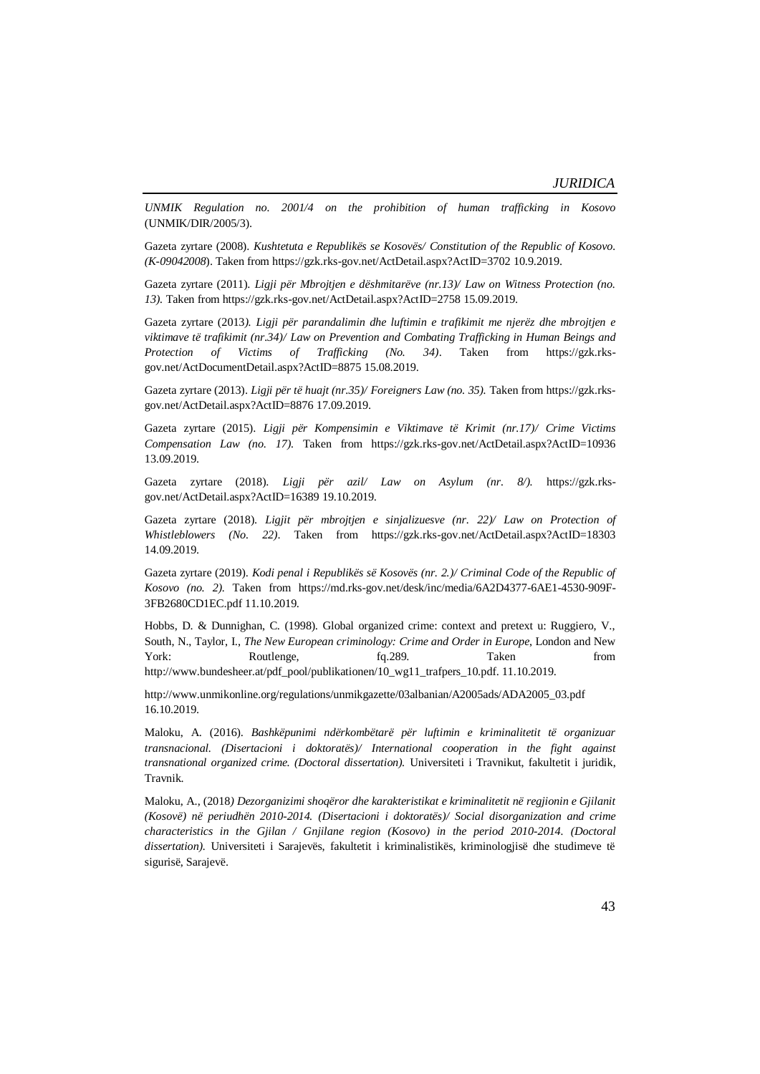*UNMIK Regulation no. 2001/4 on the prohibition of human trafficking in Kosovo* (UNMIK/DIR/2005/3).

Gazeta zyrtare (2008). *Kushtetuta e Republikës se Kosovës/ Constitution of the Republic of Kosovo. (K-09042008*). Taken from https://gzk.rks-gov.net/ActDetail.aspx?ActID=3702 10.9.2019.

Gazeta zyrtare (2011). *Ligji për Mbrojtjen e dëshmitarëve (nr.13)/ Law on Witness Protection (no. 13).* Taken from https://gzk.rks-gov.net/ActDetail.aspx?ActID=2758 15.09.2019.

Gazeta zyrtare (2013*). Ligji për parandalimin dhe luftimin e trafikimit me njerëz dhe mbrojtjen e viktimave të trafikimit (nr.34)/ Law on Prevention and Combating Trafficking in Human Beings and Protection of Victims of Trafficking (No. 34)*. Taken from https://gzk.rksgov.net/ActDocumentDetail.aspx?ActID=8875 15.08.2019.

Gazeta zyrtare (2013). *Ligji për të huajt (nr.35)/ Foreigners Law (no. 35).* Taken from https://gzk.rksgov.net/ActDetail.aspx?ActID=8876 17.09.2019.

Gazeta zyrtare (2015). *Ligji për Kompensimin e Viktimave të Krimit (nr.17)/ Crime Victims Compensation Law (no. 17).* Taken from https://gzk.rks-gov.net/ActDetail.aspx?ActID=10936 13.09.2019.

Gazeta zyrtare (2018). *Ligji për azil/ Law on Asylum (nr. 8/).* https://gzk.rksgov.net/ActDetail.aspx?ActID=16389 19.10.2019.

Gazeta zyrtare (2018). *Ligjit për mbrojtjen e sinjalizuesve (nr. 22)/ Law on Protection of Whistleblowers (No. 22)*. Taken from https://gzk.rks-gov.net/ActDetail.aspx?ActID=18303 14.09.2019.

Gazeta zyrtare (2019). *Kodi penal i Republikës së Kosovës (nr. 2.)/ Criminal Code of the Republic of Kosovo (no. 2).* Taken from https://md.rks-gov.net/desk/inc/media/6A2D4377-6AE1-4530-909F-3FB2680CD1EC.pdf 11.10.2019.

Hobbs, D. & Dunnighan, C. (1998). Global organized crime: context and pretext u: Ruggiero, V., South, N., Taylor, I., *The New European criminology: Crime and Order in Europe*, London and New York: Routlenge, fq.289. Taken from from http://www.bundesheer.at/pdf\_pool/publikationen/10\_wg11\_trafpers\_10.pdf. 11.10.2019.

http://www.unmikonline.org/regulations/unmikgazette/03albanian/A2005ads/ADA2005\_03.pdf 16.10.2019.

Maloku, A. (2016). *Bashkëpunimi ndërkombëtarë për luftimin e kriminalitetit të organizuar transnacional. (Disertacioni i doktoratës)/ International cooperation in the fight against transnational organized crime. (Doctoral dissertation).* Universiteti i Travnikut, fakultetit i juridik, Travnik.

Maloku, A., (2018*) Dezorganizimi shoqëror dhe karakteristikat e kriminalitetit në regjionin e Gjilanit (Kosovë) në periudhën 2010-2014. (Disertacioni i doktoratës)/ Social disorganization and crime characteristics in the Gjilan / Gnjilane region (Kosovo) in the period 2010-2014. (Doctoral dissertation).* Universiteti i Sarajevës, fakultetit i kriminalistikës, kriminologjisë dhe studimeve të sigurisë, Sarajevë.